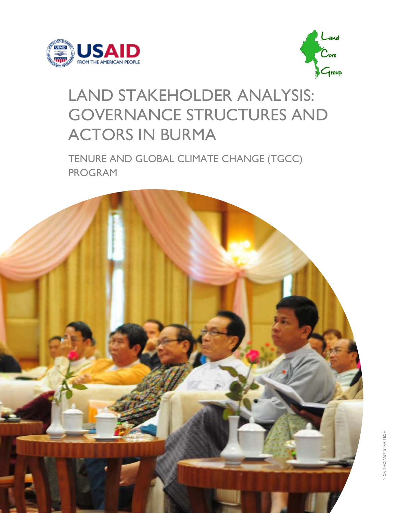



## LAND STAKEHOLDER ANALYSIS: GOVERNANCE STRUCTURES AND ACTORS IN BURMA

TENURE AND GLOBAL CLIMATE CHANGE (TGCC) PROGRAM

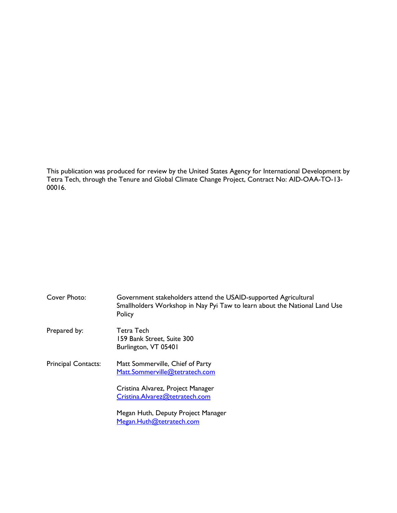This publication was produced for review by the United States Agency for International Development by Tetra Tech, through the Tenure and Global Climate Change Project, Contract No: AID-OAA-TO-13- 00016.

| Cover Photo:               | Government stakeholders attend the USAID-supported Agricultural<br>Smallholders Workshop in Nay Pyi Taw to learn about the National Land Use<br>Policy |
|----------------------------|--------------------------------------------------------------------------------------------------------------------------------------------------------|
| Prepared by:               | Tetra Tech<br>159 Bank Street, Suite 300<br>Burlington, VT 05401                                                                                       |
| <b>Principal Contacts:</b> | Matt Sommerville, Chief of Party<br>Matt.Sommerville@tetratech.com<br>Cristina Alvarez, Project Manager                                                |
|                            | Cristina.Alvarez@tetratech.com<br>Megan Huth, Deputy Project Manager<br>Megan.Huth@tetratech.com                                                       |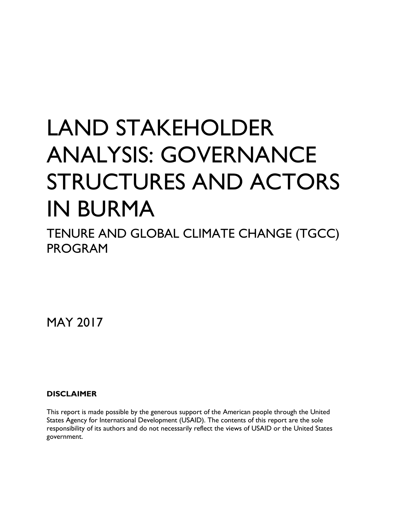# LAND STAKEHOLDER ANALYSIS: GOVERNANCE STRUCTURES AND ACTORS IN BURMA

TENURE AND GLOBAL CLIMATE CHANGE (TGCC) PROGRAM

MAY 2017

#### **DISCLAIMER**

This report is made possible by the generous support of the American people through the United States Agency for International Development (USAID). The contents of this report are the sole responsibility of its authors and do not necessarily reflect the views of USAID or the United States government.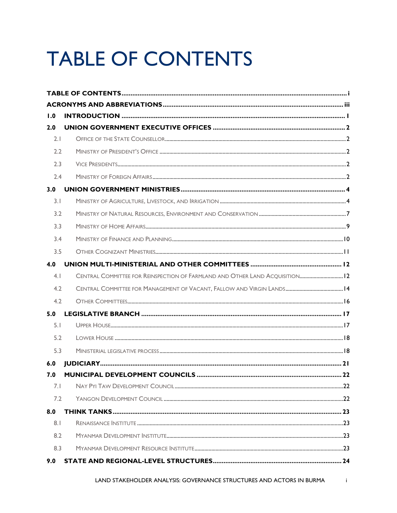## **TABLE OF CONTENTS**

| 1.0 |                                                                             |  |
|-----|-----------------------------------------------------------------------------|--|
| 2.0 |                                                                             |  |
| 2.1 |                                                                             |  |
| 2.2 |                                                                             |  |
| 2.3 |                                                                             |  |
| 2.4 |                                                                             |  |
| 3.0 |                                                                             |  |
| 3.1 |                                                                             |  |
| 3.2 |                                                                             |  |
| 3.3 |                                                                             |  |
| 3.4 |                                                                             |  |
| 3.5 |                                                                             |  |
| 4.0 |                                                                             |  |
| 4.1 | CENTRAL COMMITTEE FOR REINSPECTION OF FARMLAND AND OTHER LAND ACQUISITION12 |  |
| 4.2 |                                                                             |  |
| 4.2 |                                                                             |  |
| 5.0 |                                                                             |  |
| 5.1 |                                                                             |  |
| 5.2 |                                                                             |  |
| 5.3 |                                                                             |  |
| 6.0 |                                                                             |  |
| 7.0 |                                                                             |  |
| 7.1 |                                                                             |  |
| 7.2 |                                                                             |  |
| 8.0 |                                                                             |  |
| 8.1 |                                                                             |  |
| 8.2 |                                                                             |  |
| 8.3 |                                                                             |  |
| 9.0 |                                                                             |  |

 $\mathbf{i}$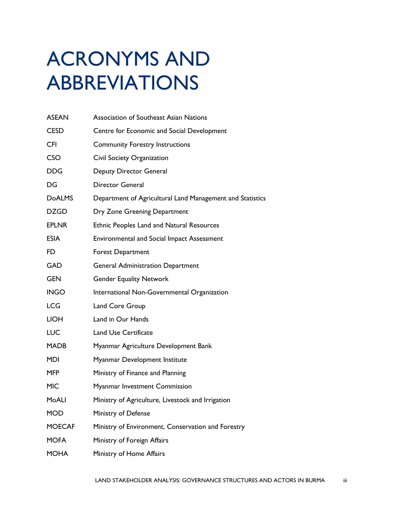## ACRONYMS AND ABBREVIATIONS

| <b>ASEAN</b>  | <b>Association of Southeast Asian Nations</b>             |
|---------------|-----------------------------------------------------------|
| <b>CESD</b>   | Centre for Economic and Social Development                |
| <b>CFI</b>    | <b>Community Forestry Instructions</b>                    |
| <b>CSO</b>    | Civil Society Organization                                |
| <b>DDG</b>    | Deputy Director General                                   |
| DG            | <b>Director General</b>                                   |
| <b>DoALMS</b> | Department of Agricultural Land Management and Statistics |
| <b>DZGD</b>   | Dry Zone Greening Department                              |
| <b>EPLNR</b>  | <b>Ethnic Peoples Land and Natural Resources</b>          |
| <b>ESIA</b>   | <b>Environmental and Social Impact Assessment</b>         |
| FD.           | <b>Forest Department</b>                                  |
| <b>GAD</b>    | <b>General Administration Department</b>                  |
| <b>GEN</b>    | <b>Gender Equality Network</b>                            |
| <b>INGO</b>   | International Non-Governmental Organization               |
| <b>LCG</b>    | Land Core Group                                           |
| <b>LIOH</b>   | Land in Our Hands                                         |
| <b>LUC</b>    | <b>Land Use Certificate</b>                               |
| <b>MADB</b>   | Myanmar Agriculture Development Bank                      |
| <b>MDI</b>    | Myanmar Development Institute                             |
| <b>MFP</b>    | Ministry of Finance and Planning                          |
| <b>MIC</b>    | Myanmar Investment Commission                             |
| MoALI         | Ministry of Agriculture, Livestock and Irrigation         |
| <b>MOD</b>    | Ministry of Defense                                       |
| <b>MOECAF</b> | Ministry of Environment, Conservation and Forestry        |
| <b>MOFA</b>   | Ministry of Foreign Affairs                               |
| <b>MOHA</b>   | Ministry of Home Affairs                                  |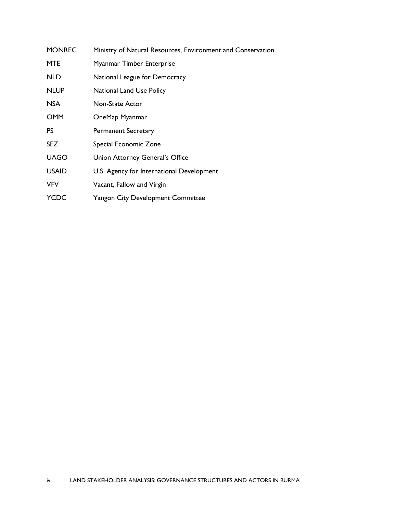| <b>MONREC</b> | Ministry of Natural Resources, Environment and Conservation |
|---------------|-------------------------------------------------------------|
| <b>MTE</b>    | Myanmar Timber Enterprise                                   |
| <b>NLD</b>    | National League for Democracy                               |
| <b>NLUP</b>   | <b>National Land Use Policy</b>                             |
| <b>NSA</b>    | Non-State Actor                                             |
| <b>OMM</b>    | OneMap Myanmar                                              |
| <b>PS</b>     | <b>Permanent Secretary</b>                                  |
| <b>SEZ</b>    | Special Economic Zone                                       |
| <b>UAGO</b>   | Union Attorney General's Office                             |
| <b>USAID</b>  | U.S. Agency for International Development                   |
| <b>VFV</b>    | Vacant, Fallow and Virgin                                   |
| YCDC          | <b>Yangon City Development Committee</b>                    |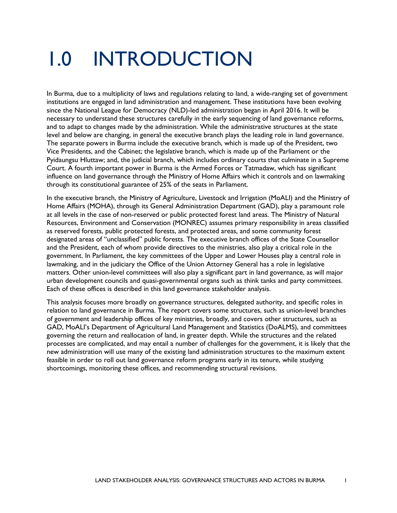## 1.0 INTRODUCTION

In Burma, due to a multiplicity of laws and regulations relating to land, a wide-ranging set of government institutions are engaged in land administration and management. These institutions have been evolving since the National League for Democracy (NLD)-led administration began in April 2016. It will be necessary to understand these structures carefully in the early sequencing of land governance reforms, and to adapt to changes made by the administration. While the administrative structures at the state level and below are changing, in general the executive branch plays the leading role in land governance. The separate powers in Burma include the executive branch, which is made up of the President, two Vice Presidents, and the Cabinet; the legislative branch, which is made up of the Parliament or the Pyidaungsu Hluttaw; and, the judicial branch, which includes ordinary courts that culminate in a Supreme Court. A fourth important power in Burma is the Armed Forces or Tatmadaw, which has significant influence on land governance through the Ministry of Home Affairs which it controls and on lawmaking through its constitutional guarantee of 25% of the seats in Parliament.

In the executive branch, the Ministry of Agriculture, Livestock and Irrigation (MoALI) and the Ministry of Home Affairs (MOHA), through its General Administration Department (GAD), play a paramount role at all levels in the case of non-reserved or public protected forest land areas. The Ministry of Natural Resources, Environment and Conservation (MONREC) assumes primary responsibility in areas classified as reserved forests, public protected forests, and protected areas, and some community forest designated areas of "unclassified" public forests. The executive branch offices of the State Counsellor and the President, each of whom provide directives to the ministries, also play a critical role in the government. In Parliament, the key committees of the Upper and Lower Houses play a central role in lawmaking, and in the judiciary the Office of the Union Attorney General has a role in legislative matters. Other union-level committees will also play a significant part in land governance, as will major urban development councils and quasi-governmental organs such as think tanks and party committees. Each of these offices is described in this land governance stakeholder analysis.

This analysis focuses more broadly on governance structures, delegated authority, and specific roles in relation to land governance in Burma. The report covers some structures, such as union-level branches of government and leadership offices of key ministries, broadly, and covers other structures, such as GAD, MoALI's Department of Agricultural Land Management and Statistics (DoALMS), and committees governing the return and reallocation of land, in greater depth. While the structures and the related processes are complicated, and may entail a number of challenges for the government, it is likely that the new administration will use many of the existing land administration structures to the maximum extent feasible in order to roll out land governance reform programs early in its tenure, while studying shortcomings, monitoring these offices, and recommending structural revisions.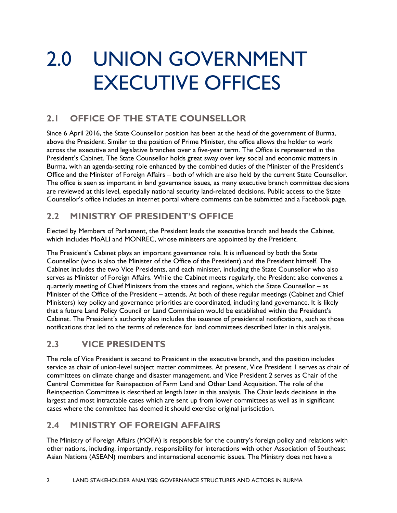## 2.0 UNION GOVERNMENT EXECUTIVE OFFICES

## **2.1 OFFICE OF THE STATE COUNSELLOR**

Since 6 April 2016, the State Counsellor position has been at the head of the government of Burma, above the President. Similar to the position of Prime Minister, the office allows the holder to work across the executive and legislative branches over a five-year term. The Office is represented in the President's Cabinet. The State Counsellor holds great sway over key social and economic matters in Burma, with an agenda-setting role enhanced by the combined duties of the Minister of the President's Office and the Minister of Foreign Affairs – both of which are also held by the current State Counsellor. The office is seen as important in land governance issues, as many executive branch committee decisions are reviewed at this level, especially national security land-related decisions. Public access to the State Counsellor's office includes an internet portal where comments can be submitted and a Facebook page.

## **2.2 MINISTRY OF PRESIDENT'S OFFICE**

Elected by Members of Parliament, the President leads the executive branch and heads the Cabinet, which includes MoALI and MONREC, whose ministers are appointed by the President.

The President's Cabinet plays an important governance role. It is influenced by both the State Counsellor (who is also the Minister of the Office of the President) and the President himself. The Cabinet includes the two Vice Presidents, and each minister, including the State Counsellor who also serves as Minister of Foreign Affairs. While the Cabinet meets regularly, the President also convenes a quarterly meeting of Chief Ministers from the states and regions, which the State Counsellor – as Minister of the Office of the President – attends. At both of these regular meetings (Cabinet and Chief Ministers) key policy and governance priorities are coordinated, including land governance. It is likely that a future Land Policy Council or Land Commission would be established within the President's Cabinet. The President's authority also includes the issuance of presidential notifications, such as those notifications that led to the terms of reference for land committees described later in this analysis.

### **2.3 VICE PRESIDENTS**

The role of Vice President is second to President in the executive branch, and the position includes service as chair of union-level subject matter committees. At present, Vice President 1 serves as chair of committees on climate change and disaster management, and Vice President 2 serves as Chair of the Central Committee for Reinspection of Farm Land and Other Land Acquisition. The role of the Reinspection Committee is described at length later in this analysis. The Chair leads decisions in the largest and most intractable cases which are sent up from lower committees as well as in significant cases where the committee has deemed it should exercise original jurisdiction.

## **2.4 MINISTRY OF FOREIGN AFFAIRS**

The Ministry of Foreign Affairs (MOFA) is responsible for the country's foreign policy and relations with other nations, including, importantly, responsibility for interactions with other Association of Southeast Asian Nations (ASEAN) members and international economic issues. The Ministry does not have a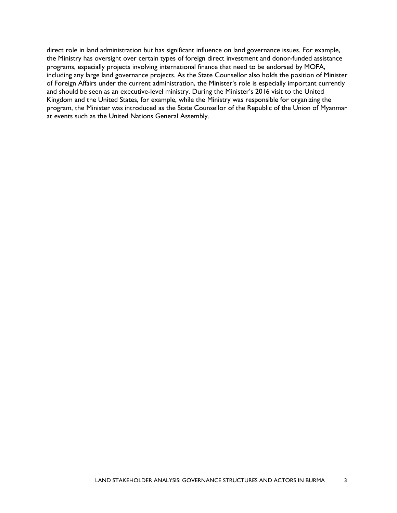direct role in land administration but has significant influence on land governance issues. For example, the Ministry has oversight over certain types of foreign direct investment and donor-funded assistance programs, especially projects involving international finance that need to be endorsed by MOFA, including any large land governance projects. As the State Counsellor also holds the position of Minister of Foreign Affairs under the current administration, the Minister's role is especially important currently and should be seen as an executive-level ministry. During the Minister's 2016 visit to the United Kingdom and the United States, for example, while the Ministry was responsible for organizing the program, the Minister was introduced as the State Counsellor of the Republic of the Union of Myanmar at events such as the United Nations General Assembly.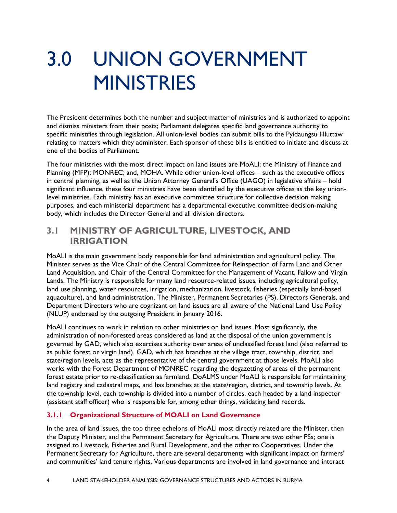## 3.0 UNION GOVERNMENT **MINISTRIES**

The President determines both the number and subject matter of ministries and is authorized to appoint and dismiss ministers from their posts; Parliament delegates specific land governance authority to specific ministries through legislation. All union-level bodies can submit bills to the Pyidaungsu Hluttaw relating to matters which they administer. Each sponsor of these bills is entitled to initiate and discuss at one of the bodies of Parliament.

The four ministries with the most direct impact on land issues are MoALI; the Ministry of Finance and Planning (MFP); MONREC; and, MOHA. While other union-level offices – such as the executive offices in central planning, as well as the Union Attorney General's Office (UAGO) in legislative affairs – hold significant influence, these four ministries have been identified by the executive offices as the key unionlevel ministries. Each ministry has an executive committee structure for collective decision making purposes, and each ministerial department has a departmental executive committee decision-making body, which includes the Director General and all division directors.

### **3.1 MINISTRY OF AGRICULTURE, LIVESTOCK, AND IRRIGATION**

MoALI is the main government body responsible for land administration and agricultural policy. The Minister serves as the Vice Chair of the Central Committee for Reinspection of Farm Land and Other Land Acquisition, and Chair of the Central Committee for the Management of Vacant, Fallow and Virgin Lands. The Ministry is responsible for many land resource-related issues, including agricultural policy, land use planning, water resources, irrigation, mechanization, livestock, fisheries (especially land-based aquaculture), and land administration. The Minister, Permanent Secretaries (PS), Directors Generals, and Department Directors who are cognizant on land issues are all aware of the National Land Use Policy (NLUP) endorsed by the outgoing President in January 2016.

MoALI continues to work in relation to other ministries on land issues. Most significantly, the administration of non-forested areas considered as land at the disposal of the union government is governed by GAD, which also exercises authority over areas of unclassified forest land (also referred to as public forest or virgin land). GAD, which has branches at the village tract, township, district, and state/region levels, acts as the representative of the central government at those levels. MoALI also works with the Forest Department of MONREC regarding the degazetting of areas of the permanent forest estate prior to re-classification as farmland. DoALMS under MoALI is responsible for maintaining land registry and cadastral maps, and has branches at the state/region, district, and township levels. At the township level, each township is divided into a number of circles, each headed by a land inspector (assistant staff officer) who is responsible for, among other things, validating land records.

#### **3.1.1 Organizational Structure of MOALI on Land Governance**

In the area of land issues, the top three echelons of MoALI most directly related are the Minister, then the Deputy Minister, and the Permanent Secretary for Agriculture. There are two other PSs; one is assigned to Livestock, Fisheries and Rural Development, and the other to Cooperatives. Under the Permanent Secretary for Agriculture, there are several departments with significant impact on farmers' and communities' land tenure rights. Various departments are involved in land governance and interact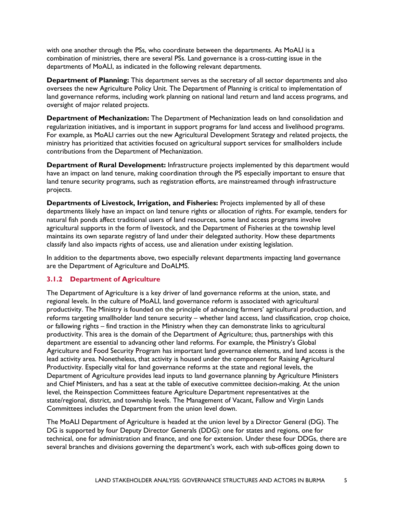with one another through the PSs, who coordinate between the departments. As MoALI is a combination of ministries, there are several PSs. Land governance is a cross-cutting issue in the departments of MoALI, as indicated in the following relevant departments.

**Department of Planning:** This department serves as the secretary of all sector departments and also oversees the new Agriculture Policy Unit. The Department of Planning is critical to implementation of land governance reforms, including work planning on national land return and land access programs, and oversight of major related projects.

**Department of Mechanization:** The Department of Mechanization leads on land consolidation and regularization initiatives, and is important in support programs for land access and livelihood programs. For example, as MoALI carries out the new Agricultural Development Strategy and related projects, the ministry has prioritized that activities focused on agricultural support services for smallholders include contributions from the Department of Mechanization.

**Department of Rural Development:** Infrastructure projects implemented by this department would have an impact on land tenure, making coordination through the PS especially important to ensure that land tenure security programs, such as registration efforts, are mainstreamed through infrastructure projects.

**Departments of Livestock, Irrigation, and Fisheries:** Projects implemented by all of these departments likely have an impact on land tenure rights or allocation of rights. For example, tenders for natural fish ponds affect traditional users of land resources, some land access programs involve agricultural supports in the form of livestock, and the Department of Fisheries at the township level maintains its own separate registry of land under their delegated authority. How these departments classify land also impacts rights of access, use and alienation under existing legislation.

In addition to the departments above, two especially relevant departments impacting land governance are the Department of Agriculture and DoALMS.

#### **3.1.2 Department of Agriculture**

The Department of Agriculture is a key driver of land governance reforms at the union, state, and regional levels. In the culture of MoALI, land governance reform is associated with agricultural productivity. The Ministry is founded on the principle of advancing farmers' agricultural production, and reforms targeting smallholder land tenure security – whether land access, land classification, crop choice, or fallowing rights – find traction in the Ministry when they can demonstrate links to agricultural productivity. This area is the domain of the Department of Agriculture; thus, partnerships with this department are essential to advancing other land reforms. For example, the Ministry's Global Agriculture and Food Security Program has important land governance elements, and land access is the lead activity area. Nonetheless, that activity is housed under the component for Raising Agricultural Productivity. Especially vital for land governance reforms at the state and regional levels, the Department of Agriculture provides lead inputs to land governance planning by Agriculture Ministers and Chief Ministers, and has a seat at the table of executive committee decision-making. At the union level, the Reinspection Committees feature Agriculture Department representatives at the state/regional, district, and township levels. The Management of Vacant, Fallow and Virgin Lands Committees includes the Department from the union level down.

The MoALI Department of Agriculture is headed at the union level by a Director General (DG). The DG is supported by four Deputy Director Generals (DDG): one for states and regions, one for technical, one for administration and finance, and one for extension. Under these four DDGs, there are several branches and divisions governing the department's work, each with sub-offices going down to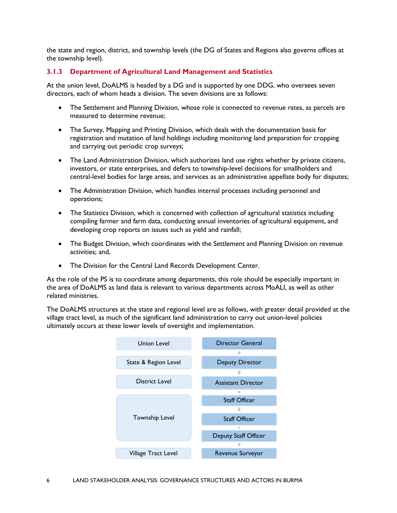the state and region, district, and township levels (the DG of States and Regions also governs offices at the township level).

#### **3.1.3 Department of Agricultural Land Management and Statistics**

At the union level, DoALMS is headed by a DG and is supported by one DDG, who oversees seven directors, each of whom heads a division. The seven divisions are as follows:

- The Settlement and Planning Division, whose role is connected to revenue rates, as parcels are measured to determine revenue;
- The Survey, Mapping and Printing Division, which deals with the documentation basis for registration and mutation of land holdings including monitoring land preparation for cropping and carrying out periodic crop surveys;
- The Land Administration Division, which authorizes land use rights whether by private citizens, investors, or state enterprises, and defers to township-level decisions for smallholders and central-level bodies for large areas, and services as an administrative appellate body for disputes;
- The Administration Division, which handles internal processes including personnel and operations;
- The Statistics Division, which is concerned with collection of agricultural statistics including compiling farmer and farm data, conducting annual inventories of agricultural equipment, and developing crop reports on issues such as yield and rainfall;
- The Budget Division, which coordinates with the Settlement and Planning Division on revenue activities; and,
- The Division for the Central Land Records Development Center.

As the role of the PS is to coordinate among departments, this role should be especially important in the area of DoALMS as land data is relevant to various departments across MoALI, as well as other related ministries.

The DoALMS structures at the state and regional level are as follows, with greater detail provided at the village tract level, as much of the significant land administration to carry out union-level policies ultimately occurs at these lower levels of oversight and implementation.

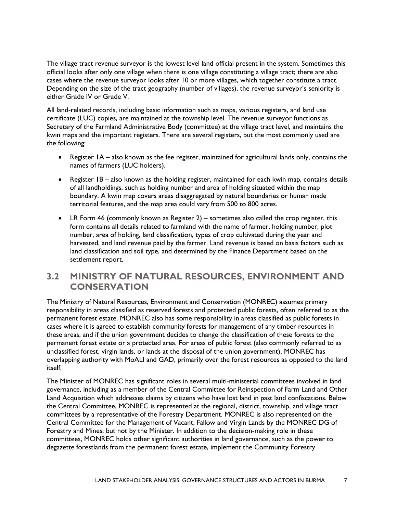The village tract revenue surveyor is the lowest level land official present in the system. Sometimes this official looks after only one village when there is one village constituting a village tract; there are also cases where the revenue surveyor looks after 10 or more villages, which together constitute a tract. Depending on the size of the tract geography (number of villages), the revenue surveyor's seniority is either Grade IV or Grade V.

All land-related records, including basic information such as maps, various registers, and land use certificate (LUC) copies, are maintained at the township level. The revenue surveyor functions as Secretary of the Farmland Administrative Body (committee) at the village tract level, and maintains the kwin maps and the important registers. There are several registers, but the most commonly used are the following:

- Register 1A also known as the fee register, maintained for agricultural lands only, contains the names of farmers (LUC holders).
- Register IB also known as the holding register, maintained for each kwin map, contains details of all landholdings, such as holding number and area of holding situated within the map boundary. A kwin map covers areas disaggregated by natural boundaries or human made territorial features, and the map area could vary from 500 to 800 acres.
- LR Form 46 (commonly known as Register 2) sometimes also called the crop register, this form contains all details related to farmland with the name of farmer, holding number, plot number, area of holding, land classification, types of crop cultivated during the year and harvested, and land revenue paid by the farmer. Land revenue is based on basis factors such as land classification and soil type, and determined by the Finance Department based on the settlement report.

### **3.2 MINISTRY OF NATURAL RESOURCES, ENVIRONMENT AND CONSERVATION**

The Ministry of Natural Resources, Environment and Conservation (MONREC) assumes primary responsibility in areas classified as reserved forests and protected public forests, often referred to as the permanent forest estate. MONREC also has some responsibility in areas classified as public forests in cases where it is agreed to establish community forests for management of any timber resources in these areas, and if the union government decides to change the classification of these forests to the permanent forest estate or a protected area. For areas of public forest (also commonly referred to as unclassified forest, virgin lands, or lands at the disposal of the union government), MONREC has overlapping authority with MoALI and GAD, primarily over the forest resources as opposed to the land itself.

The Minister of MONREC has significant roles in several multi-ministerial committees involved in land governance, including as a member of the Central Committee for Reinspection of Farm Land and Other Land Acquisition which addresses claims by citizens who have lost land in past land confiscations. Below the Central Committee, MONREC is represented at the regional, district, township, and village tract committees by a representative of the Forestry Department. MONREC is also represented on the Central Committee for the Management of Vacant, Fallow and Virgin Lands by the MONREC DG of Forestry and Mines, but not by the Minister. In addition to the decision-making role in these committees, MONREC holds other significant authorities in land governance, such as the power to degazette forestlands from the permanent forest estate, implement the Community Forestry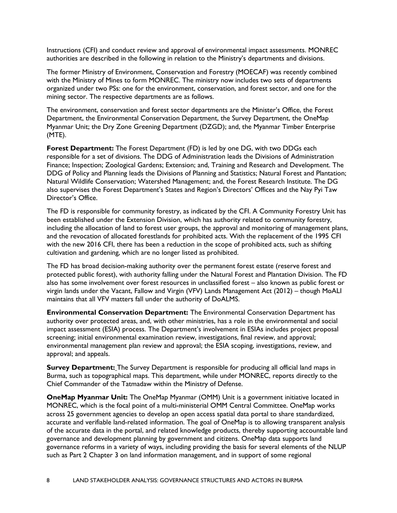Instructions (CFI) and conduct review and approval of environmental impact assessments. MONREC authorities are described in the following in relation to the Ministry's departments and divisions.

The former Ministry of Environment, Conservation and Forestry (MOECAF) was recently combined with the Ministry of Mines to form MONREC. The ministry now includes two sets of departments organized under two PSs: one for the environment, conservation, and forest sector, and one for the mining sector. The respective departments are as follows.

The environment, conservation and forest sector departments are the Minister's Office, the Forest Department, the Environmental Conservation Department, the Survey Department, the OneMap Myanmar Unit; the Dry Zone Greening Department (DZGD); and, the Myanmar Timber Enterprise (MTE).

**Forest Department:** The Forest Department (FD) is led by one DG, with two DDGs each responsible for a set of divisions. The DDG of Administration leads the Divisions of Administration Finance; Inspection; Zoological Gardens; Extension; and, Training and Research and Development. The DDG of Policy and Planning leads the Divisions of Planning and Statistics; Natural Forest and Plantation; Natural Wildlife Conservation; Watershed Management; and, the Forest Research Institute. The DG also supervises the Forest Department's States and Region's Directors' Offices and the Nay Pyi Taw Director's Office.

The FD is responsible for community forestry, as indicated by the CFI. A Community Forestry Unit has been established under the Extension Division, which has authority related to community forestry, including the allocation of land to forest user groups, the approval and monitoring of management plans, and the revocation of allocated forestlands for prohibited acts. With the replacement of the 1995 CFI with the new 2016 CFI, there has been a reduction in the scope of prohibited acts, such as shifting cultivation and gardening, which are no longer listed as prohibited.

The FD has broad decision-making authority over the permanent forest estate (reserve forest and protected public forest), with authority falling under the Natural Forest and Plantation Division. The FD also has some involvement over forest resources in unclassified forest – also known as public forest or virgin lands under the Vacant, Fallow and Virgin (VFV) Lands Management Act (2012) – though MoALI maintains that all VFV matters fall under the authority of DoALMS.

**Environmental Conservation Department:** The Environmental Conservation Department has authority over protected areas, and, with other ministries, has a role in the environmental and social impact assessment (ESIA) process. The Department's involvement in ESIAs includes project proposal screening; initial environmental examination review, investigations, final review, and approval; environmental management plan review and approval; the ESIA scoping, investigations, review, and approval; and appeals.

**Survey Department:** The Survey Department is responsible for producing all official land maps in Burma, such as topographical maps. This department, while under MONREC, reports directly to the Chief Commander of the Tatmadaw within the Ministry of Defense.

**OneMap Myanmar Unit:** The OneMap Myanmar (OMM) Unit is a government initiative located in MONREC, which is the focal point of a multi-ministerial OMM Central Committee. OneMap works across 25 government agencies to develop an open access spatial data portal to share standardized, accurate and verifiable land-related information. The goal of OneMap is to allowing transparent analysis of the accurate data in the portal, and related knowledge products, thereby supporting accountable land governance and development planning by government and citizens. OneMap data supports land governance reforms in a variety of ways, including providing the basis for several elements of the NLUP such as Part 2 Chapter 3 on land information management, and in support of some regional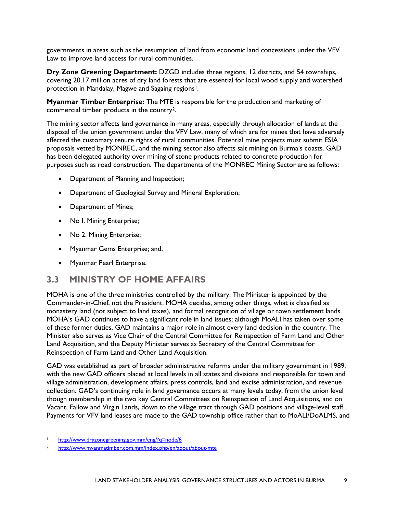governments in areas such as the resumption of land from economic land concessions under the VFV Law to improve land access for rural communities.

**Dry Zone Greening Department:** DZGD includes three regions, 12 districts, and 54 townships, covering 20.17 million acres of dry land forests that are essential for local wood supply and watershed protection in Mandalay, Magwe and Sagaing regions<sup>[1](#page-15-0)</sup>.

**Myanmar Timber Enterprise:** The MTE is responsible for the production and marketing of commercial timber products in the country[2.](#page-15-1)

The mining sector affects land governance in many areas, especially through allocation of lands at the disposal of the union government under the VFV Law, many of which are for mines that have adversely affected the customary tenure rights of rural communities. Potential mine projects must submit ESIA proposals vetted by MONREC, and the mining sector also affects salt mining on Burma's coasts. GAD has been delegated authority over mining of stone products related to concrete production for purposes such as road construction. The departments of the MONREC Mining Sector are as follows:

- Department of Planning and Inspection;
- Department of Geological Survey and Mineral Exploration;
- Department of Mines;
- No I. Mining Enterprise;
- No 2. Mining Enterprise;
- Myanmar Gems Enterprise; and,
- Myanmar Pearl Enterprise.

#### **3.3 MINISTRY OF HOME AFFAIRS**

MOHA is one of the three ministries controlled by the military. The Minister is appointed by the Commander-in-Chief, not the President. MOHA decides, among other things, what is classified as monastery land (not subject to land taxes), and formal recognition of village or town settlement lands. MOHA's GAD continues to have a significant role in land issues; although MoALI has taken over some of these former duties, GAD maintains a major role in almost every land decision in the country. The Minister also serves as Vice Chair of the Central Committee for Reinspection of Farm Land and Other Land Acquisition*,* and the Deputy Minister serves as Secretary of the Central Committee for Reinspection of Farm Land and Other Land Acquisition.

GAD was established as part of broader administrative reforms under the military government in 1989, with the new GAD officers placed at local levels in all states and divisions and responsible for town and village administration, development affairs, press controls, land and excise administration, and revenue collection. GAD's continuing role in land governance occurs at many levels today, from the union level though membership in the two key Central Committees on Reinspection of Land Acquisitions, and on Vacant, Fallow and Virgin Lands, down to the village tract through GAD positions and village-level staff. Payments for VFV land leases are made to the GAD township office rather than to MoALI/DoALMS, and

 $\overline{a}$ 

<span id="page-15-0"></span><sup>1</sup> <http://www.dryzonegreening.gov.mm/eng/?q=node/8>

<span id="page-15-1"></span><sup>2</sup> <http://www.myanmatimber.com.mm/index.php/en/about/about-mte>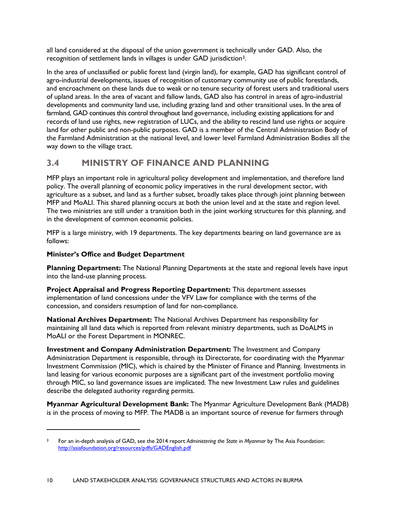all land considered at the disposal of the union government is technically under GAD. Also, the recognition of settlement lands in villages is under GAD jurisdiction[3.](#page-16-0)

In the area of unclassified or public forest land (virgin land), for example, GAD has significant control of agro-industrial developments, issues of recognition of customary community use of public forestlands, and encroachment on these lands due to weak or no tenure security of forest users and traditional users of upland areas. In the area of vacant and fallow lands, GAD also has control in areas of agro-industrial developments and community land use, including grazing land and other transitional uses. In the area of farmland, GAD continues this control throughout land governance, including existing applications for and records of land use rights, new registration of LUCs, and the ability to rescind land use rights or acquire land for other public and non-public purposes. GAD is a member of the Central Administration Body of the Farmland Administration at the national level, and lower level Farmland Administration Bodies all the way down to the village tract.

## **3.4 MINISTRY OF FINANCE AND PLANNING**

MFP plays an important role in agricultural policy development and implementation, and therefore land policy. The overall planning of economic policy imperatives in the rural development sector, with agriculture as a subset, and land as a further subset, broadly takes place through joint planning between MFP and MoALI. This shared planning occurs at both the union level and at the state and region level. The two ministries are still under a transition both in the joint working structures for this planning, and in the development of common economic policies.

MFP is a large ministry, with 19 departments. The key departments bearing on land governance are as follows:

#### **Minister's Office and Budget Department**

 $\ddot{\phantom{a}}$ 

**Planning Department:** The National Planning Departments at the state and regional levels have input into the land-use planning process.

**Project Appraisal and Progress Reporting Department:** This department assesses implementation of land concessions under the VFV Law for compliance with the terms of the concession, and considers resumption of land for non-compliance.

**National Archives Department:** The National Archives Department has responsibility for maintaining all land data which is reported from relevant ministry departments, such as DoALMS in MoALI or the Forest Department in MONREC.

**Investment and Company Administration Department:** The Investment and Company Administration Department is responsible, through its Directorate, for coordinating with the Myanmar Investment Commission (MIC), which is chaired by the Minister of Finance and Planning. Investments in land leasing for various economic purposes are a significant part of the investment portfolio moving through MIC, so land governance issues are implicated. The new Investment Law rules and guidelines describe the delegated authority regarding permits.

**Myanmar Agricultural Development Bank:** The Myanmar Agriculture Development Bank (MADB) is in the process of moving to MFP. The MADB is an important source of revenue for farmers through

<span id="page-16-0"></span><sup>3</sup> For an in-depth analysis of GAD, see the 2014 report *Administering the State in Myanmar* by The Asia Foundation: <http://asiafoundation.org/resources/pdfs/GADEnglish.pdf>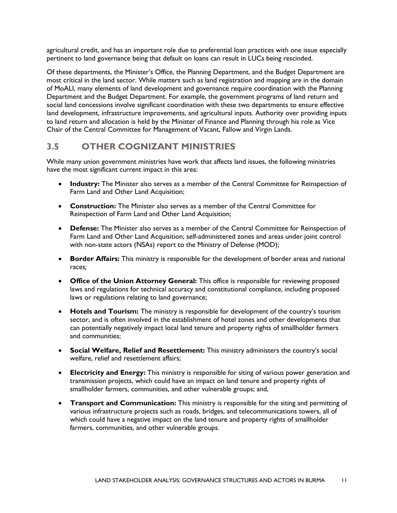agricultural credit, and has an important role due to preferential loan practices with one issue especially pertinent to land governance being that default on loans can result in LUCs being rescinded.

Of these departments, the Minister's Office, the Planning Department, and the Budget Department are most critical in the land sector. While matters such as land registration and mapping are in the domain of MoALI, many elements of land development and governance require coordination with the Planning Department and the Budget Department. For example, the government programs of land return and social land concessions involve significant coordination with these two departments to ensure effective land development, infrastructure improvements, and agricultural inputs. Authority over providing inputs to land return and allocation is held by the Minister of Finance and Planning through his role as Vice Chair of the Central Committee for Management of Vacant, Fallow and Virgin Lands.

### **3.5 OTHER COGNIZANT MINISTRIES**

While many union government ministries have work that affects land issues, the following ministries have the most significant current impact in this area:

- **Industry:** The Minister also serves as a member of the Central Committee for Reinspection of Farm Land and Other Land Acquisition;
- **Construction:** The Minister also serves as a member of the Central Committee for Reinspection of Farm Land and Other Land Acquisition;
- **Defense:** The Minister also serves as a member of the Central Committee for Reinspection of Farm Land and Other Land Acquisition; self-administered zones and areas under joint control with non-state actors (NSAs) report to the Ministry of Defense (MOD);
- **Border Affairs:** This ministry is responsible for the development of border areas and national races*;*
- **Office of the Union Attorney General:** This office is responsible for reviewing proposed laws and regulations for technical accuracy and constitutional compliance, including proposed laws or regulations relating to land governance;
- **Hotels and Tourism:** The ministry is responsible for development of the country's tourism sector, and is often involved in the establishment of hotel zones and other developments that can potentially negatively impact local land tenure and property rights of smallholder farmers and communities;
- **Social Welfare, Relief and Resettlement:** This ministry administers the country's social welfare, relief and resettlement affairs;
- **Electricity and Energy:** This ministry is responsible for siting of various power generation and transmission projects, which could have an impact on land tenure and property rights of smallholder farmers, communities, and other vulnerable groups; and,
- **Transport and Communication:** This ministry is responsible for the siting and permitting of various infrastructure projects such as roads, bridges, and telecommunications towers, all of which could have a negative impact on the land tenure and property rights of smallholder farmers, communities, and other vulnerable groups.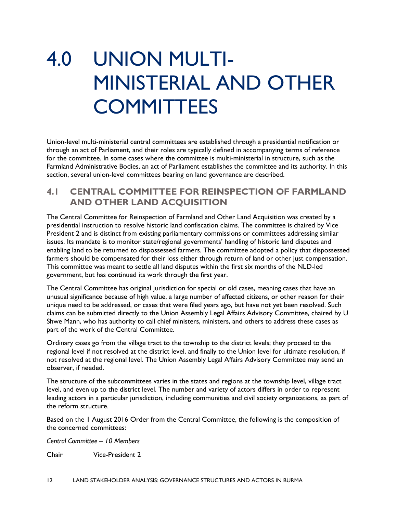## 4.0 UNION MULTI-MINISTERIAL AND OTHER **COMMITTEES**

Union-level multi-ministerial central committees are established through a presidential notification or through an act of Parliament, and their roles are typically defined in accompanying terms of reference for the committee. In some cases where the committee is multi-ministerial in structure, such as the Farmland Administrative Bodies, an act of Parliament establishes the committee and its authority. In this section, several union-level committees bearing on land governance are described.

### **4.1 CENTRAL COMMITTEE FOR REINSPECTION OF FARMLAND AND OTHER LAND ACQUISITION**

The Central Committee for Reinspection of Farmland and Other Land Acquisition was created by a presidential instruction to resolve historic land confiscation claims. The committee is chaired by Vice President 2 and is distinct from existing parliamentary commissions or committees addressing similar issues. Its mandate is to monitor state/regional governments' handling of historic land disputes and enabling land to be returned to dispossessed farmers. The committee adopted a policy that dispossessed farmers should be compensated for their loss either through return of land or other just compensation. This committee was meant to settle all land disputes within the first six months of the NLD-led government, but has continued its work through the first year.

The Central Committee has original jurisdiction for special or old cases, meaning cases that have an unusual significance because of high value, a large number of affected citizens, or other reason for their unique need to be addressed, or cases that were filed years ago, but have not yet been resolved. Such claims can be submitted directly to the Union Assembly Legal Affairs Advisory Committee, chaired by U Shwe Mann, who has authority to call chief ministers, ministers, and others to address these cases as part of the work of the Central Committee.

Ordinary cases go from the village tract to the township to the district levels; they proceed to the regional level if not resolved at the district level, and finally to the Union level for ultimate resolution, if not resolved at the regional level. The Union Assembly Legal Affairs Advisory Committee may send an observer, if needed.

The structure of the subcommittees varies in the states and regions at the township level, village tract level, and even up to the district level. The number and variety of actors differs in order to represent leading actors in a particular jurisdiction, including communities and civil society organizations, as part of the reform structure.

Based on the 1 August 2016 Order from the Central Committee, the following is the composition of the concerned committees:

*Central Committee – 10 Members*

Chair Vice-President 2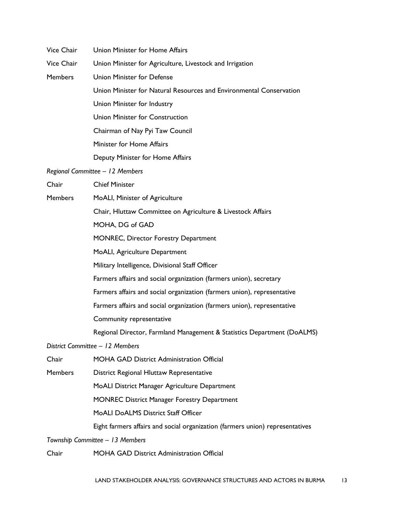| <b>Vice Chair</b> | Union Minister for Home Affairs                                               |
|-------------------|-------------------------------------------------------------------------------|
| Vice Chair        | Union Minister for Agriculture, Livestock and Irrigation                      |
| <b>Members</b>    | <b>Union Minister for Defense</b>                                             |
|                   | Union Minister for Natural Resources and Environmental Conservation           |
|                   | Union Minister for Industry                                                   |
|                   | Union Minister for Construction                                               |
|                   | Chairman of Nay Pyi Taw Council                                               |
|                   | Minister for Home Affairs                                                     |
|                   | Deputy Minister for Home Affairs                                              |
|                   | Regional Committee - 12 Members                                               |
| Chair             | <b>Chief Minister</b>                                                         |
| <b>Members</b>    | MoALI, Minister of Agriculture                                                |
|                   | Chair, Hluttaw Committee on Agriculture & Livestock Affairs                   |
|                   | MOHA, DG of GAD                                                               |
|                   | <b>MONREC, Director Forestry Department</b>                                   |
|                   | MoALI, Agriculture Department                                                 |
|                   | Military Intelligence, Divisional Staff Officer                               |
|                   | Farmers affairs and social organization (farmers union), secretary            |
|                   | Farmers affairs and social organization (farmers union), representative       |
|                   | Farmers affairs and social organization (farmers union), representative       |
|                   | Community representative                                                      |
|                   | Regional Director, Farmland Management & Statistics Department (DoALMS)       |
|                   | District Committee - 12 Members                                               |
| Chair             | <b>MOHA GAD District Administration Official</b>                              |
| <b>Members</b>    | District Regional Hluttaw Representative                                      |
|                   | MoALI District Manager Agriculture Department                                 |
|                   | <b>MONREC District Manager Forestry Department</b>                            |
|                   | <b>MoALI DoALMS District Staff Officer</b>                                    |
|                   | Eight farmers affairs and social organization (farmers union) representatives |
|                   | Township Committee - 13 Members                                               |
| Chair             | MOHA GAD District Administration Official                                     |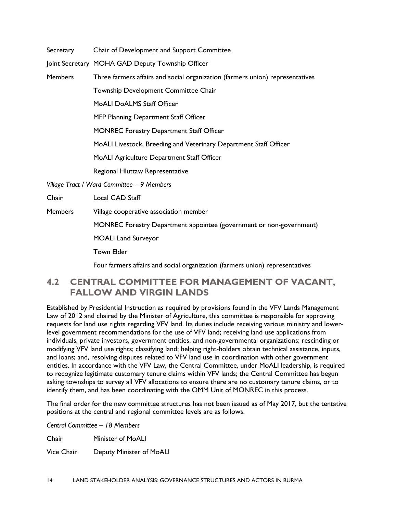Secretary Chair of Development and Support Committee

Joint Secretary MOHA GAD Deputy Township Officer

Members Three farmers affairs and social organization (farmers union) representatives

Township Development Committee Chair

MoALI DoALMS Staff Officer

MFP Planning Department Staff Officer

MONREC Forestry Department Staff Officer

MoALI Livestock, Breeding and Veterinary Department Staff Officer

MoALI Agriculture Department Staff Officer

Regional Hluttaw Representative

*Village Tract / Ward Committee – 9 Members*

Chair Local GAD Staff

Members Village cooperative association member

MONREC Forestry Department appointee (government or non-government)

MOALI Land Surveyor

Town Elder

Four farmers affairs and social organization (farmers union) representatives

### **4.2 CENTRAL COMMITTEE FOR MANAGEMENT OF VACANT, FALLOW AND VIRGIN LANDS**

Established by Presidential Instruction as required by provisions found in the VFV Lands Management Law of 2012 and chaired by the Minister of Agriculture, this committee is responsible for approving requests for land use rights regarding VFV land. Its duties include receiving various ministry and lowerlevel government recommendations for the use of VFV land; receiving land use applications from individuals, private investors, government entities, and non-governmental organizations; rescinding or modifying VFV land use rights; classifying land; helping right-holders obtain technical assistance, inputs, and loans; and, resolving disputes related to VFV land use in coordination with other government entities. In accordance with the VFV Law, the Central Committee, under MoALI leadership, is required to recognize legitimate customary tenure claims within VFV lands; the Central Committee has begun asking townships to survey all VFV allocations to ensure there are no customary tenure claims, or to identify them, and has been coordinating with the OMM Unit of MONREC in this process.

The final order for the new committee structures has not been issued as of May 2017, but the tentative positions at the central and regional committee levels are as follows.

*Central Committee – 18 Members*

Chair Minister of MoALI

Vice Chair Deputy Minister of MoALI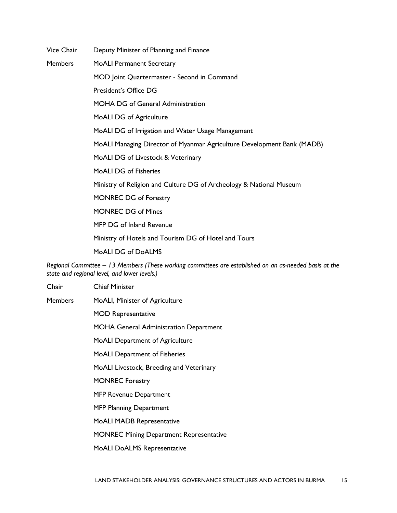Vice Chair Deputy Minister of Planning and Finance

Members MoALI Permanent Secretary

MOD Joint Quartermaster - Second in Command

President's Office DG

MOHA DG of General Administration

MoALI DG of Agriculture

MoALI DG of Irrigation and Water Usage Management

MoALI Managing Director of Myanmar Agriculture Development Bank (MADB)

MoALI DG of Livestock & Veterinary

MoALI DG of Fisheries

Ministry of Religion and Culture DG of Archeology & National Museum

MONREC DG of Forestry

MONREC DG of Mines

MFP DG of Inland Revenue

Ministry of Hotels and Tourism DG of Hotel and Tours

MoALI DG of DoALMS

*Regional Committee – 13 Members (These working committees are established on an as-needed basis at the state and regional level, and lower levels.)*

Chair Chief Minister Members MoALI, Minister of Agriculture MOD Representative MOHA General Administration Department MoALI Department of Agriculture MoALI Department of Fisheries MoALI Livestock, Breeding and Veterinary MONREC Forestry MFP Revenue Department MFP Planning Department MoALI MADB Representative MONREC Mining Department Representative MoALI DoALMS Representative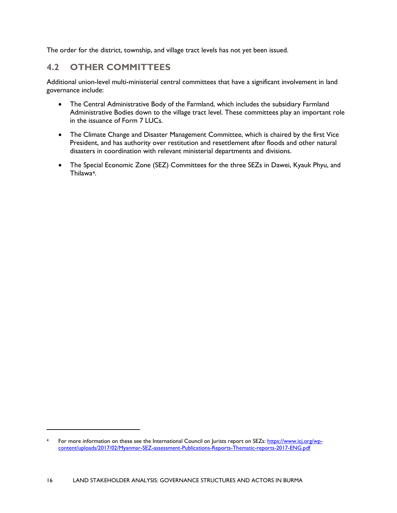The order for the district, township, and village tract levels has not yet been issued.

### **4.2 OTHER COMMITTEES**

 $\ddot{\phantom{a}}$ 

Additional union-level multi-ministerial central committees that have a significant involvement in land governance include:

- The Central Administrative Body of the Farmland, which includes the subsidiary Farmland Administrative Bodies down to the village tract level. These committees play an important role in the issuance of Form 7 LUCs.
- The Climate Change and Disaster Management Committee, which is chaired by the first Vice President, and has authority over restitution and resettlement after floods and other natural disasters in coordination with relevant ministerial departments and divisions.
- The Special Economic Zone (SEZ) Committees for the three SEZs in Dawei, Kyauk Phyu, and Thilawa[4](#page-22-0).

<span id="page-22-0"></span><sup>4</sup> For more information on these see the International Council on Jurists report on SEZs: [https://www.icj.org/wp](https://www.icj.org/wp-content/uploads/2017/02/Myanmar-SEZ-assessment-Publications-Reports-Thematic-reports-2017-ENG.pdf)[content/uploads/2017/02/Myanmar-SEZ-assessment-Publications-Reports-Thematic-reports-2017-ENG.pdf](https://www.icj.org/wp-content/uploads/2017/02/Myanmar-SEZ-assessment-Publications-Reports-Thematic-reports-2017-ENG.pdf)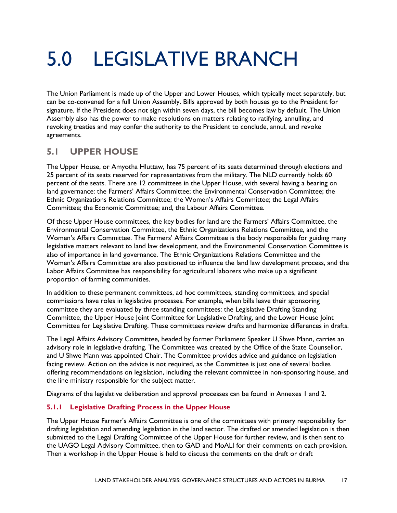## 5.0 LEGISLATIVE BRANCH

The Union Parliament is made up of the Upper and Lower Houses, which typically meet separately, but can be co-convened for a full Union Assembly. Bills approved by both houses go to the President for signature. If the President does not sign within seven days, the bill becomes law by default. The Union Assembly also has the power to make resolutions on matters relating to ratifying, annulling, and revoking treaties and may confer the authority to the President to conclude, annul, and revoke agreements.

### **5.1 UPPER HOUSE**

The Upper House, or Amyotha Hluttaw, has 75 percent of its seats determined through elections and 25 percent of its seats reserved for representatives from the military. The NLD currently holds 60 percent of the seats. There are 12 committees in the Upper House, with several having a bearing on land governance: the Farmers' Affairs Committee; the Environmental Conservation Committee; the Ethnic Organizations Relations Committee; the Women's Affairs Committee; the Legal Affairs Committee; the Economic Committee; and, the Labour Affairs Committee.

Of these Upper House committees, the key bodies for land are the Farmers' Affairs Committee, the Environmental Conservation Committee, the Ethnic Organizations Relations Committee, and the Women's Affairs Committee. The Farmers' Affairs Committee is the body responsible for guiding many legislative matters relevant to land law development, and the Environmental Conservation Committee is also of importance in land governance. The Ethnic Organizations Relations Committee and the Women's Affairs Committee are also positioned to influence the land law development process, and the Labor Affairs Committee has responsibility for agricultural laborers who make up a significant proportion of farming communities.

In addition to these permanent committees, ad hoc committees, standing committees, and special commissions have roles in legislative processes. For example, when bills leave their sponsoring committee they are evaluated by three standing committees: the Legislative Drafting Standing Committee, the Upper House Joint Committee for Legislative Drafting, and the Lower House Joint Committee for Legislative Drafting. These committees review drafts and harmonize differences in drafts.

The Legal Affairs Advisory Committee, headed by former Parliament Speaker U Shwe Mann, carries an advisory role in legislative drafting. The Committee was created by the Office of the State Counsellor, and U Shwe Mann was appointed Chair. The Committee provides advice and guidance on legislation facing review. Action on the advice is not required, as the Committee is just one of several bodies offering recommendations on legislation, including the relevant committee in non-sponsoring house, and the line ministry responsible for the subject matter.

Diagrams of the legislative deliberation and approval processes can be found in Annexes 1 and 2.

#### **5.1.1 Legislative Drafting Process in the Upper House**

The Upper House Farmer's Affairs Committee is one of the committees with primary responsibility for drafting legislation and amending legislation in the land sector. The drafted or amended legislation is then submitted to the Legal Drafting Committee of the Upper House for further review, and is then sent to the UAGO Legal Advisory Committee, then to GAD and MoALI for their comments on each provision. Then a workshop in the Upper House is held to discuss the comments on the draft or draft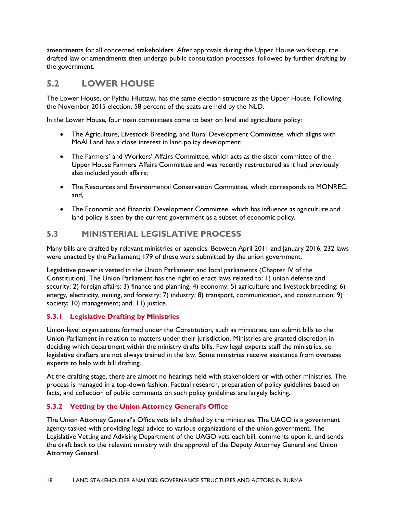amendments for all concerned stakeholders. After approvals during the Upper House workshop, the drafted law or amendments then undergo public consultation processes, followed by further drafting by the government.

### **5.2 LOWER HOUSE**

The Lower House, or Pyithu Hluttaw, has the same election structure as the Upper House. Following the November 2015 election, 58 percent of the seats are held by the NLD.

In the Lower House, four main committees come to bear on land and agriculture policy:

- The Agriculture, Livestock Breeding, and Rural Development Committee, which aligns with MoALI and has a close interest in land policy development;
- The Farmers' and Workers' Affairs Committee, which acts as the sister committee of the Upper House Farmers Affairs Committee and was recently restructured as it had previously also included youth affairs;
- The Resources and Environmental Conservation Committee, which corresponds to MONREC; and,
- The Economic and Financial Development Committee, which has influence as agriculture and land policy is seen by the current government as a subset of economic policy.

#### **5.3 MINISTERIAL LEGISLATIVE PROCESS**

Many bills are drafted by relevant ministries or agencies. Between April 2011 and January 2016, 232 laws were enacted by the Parliament; 179 of these were submitted by the union government.

Legislative power is vested in the Union Parliament and local parliaments (Chapter IV of the Constitution). The Union Parliament has the right to enact laws related to: 1) union defense and security; 2) foreign affairs; 3) finance and planning; 4) economy; 5) agriculture and livestock breeding; 6) energy, electricity, mining, and forestry; 7) industry; 8) transport, communication, and construction; 9) society; 10) management; and, 11) justice.

#### **5.3.1 Legislative Drafting by Ministries**

Union-level organizations formed under the Constitution, such as ministries, can submit bills to the Union Parliament in relation to matters under their jurisdiction. Ministries are granted discretion in deciding which department within the ministry drafts bills. Few legal experts staff the ministries, so legislative drafters are not always trained in the law. Some ministries receive assistance from overseas experts to help with bill drafting.

At the drafting stage, there are almost no hearings held with stakeholders or with other ministries. The process is managed in a top-down fashion. Factual research, preparation of policy guidelines based on facts, and collection of public comments on such policy guidelines are largely lacking.

#### **5.3.2 Vetting by the Union Attorney General's Office**

The Union Attorney General's Office vets bills drafted by the ministries. The UAGO is a government agency tasked with providing legal advice to various organizations of the union government. The Legislative Vetting and Advising Department of the UAGO vets each bill, comments upon it, and sends the draft back to the relevant ministry with the approval of the Deputy Attorney General and Union Attorney General.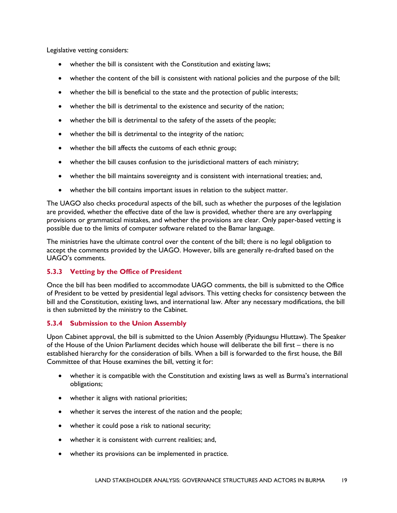Legislative vetting considers:

- whether the bill is consistent with the Constitution and existing laws;
- whether the content of the bill is consistent with national policies and the purpose of the bill;
- whether the bill is beneficial to the state and the protection of public interests;
- whether the bill is detrimental to the existence and security of the nation;
- whether the bill is detrimental to the safety of the assets of the people;
- whether the bill is detrimental to the integrity of the nation;
- whether the bill affects the customs of each ethnic group;
- whether the bill causes confusion to the jurisdictional matters of each ministry;
- whether the bill maintains sovereignty and is consistent with international treaties; and,
- whether the bill contains important issues in relation to the subject matter.

The UAGO also checks procedural aspects of the bill, such as whether the purposes of the legislation are provided, whether the effective date of the law is provided, whether there are any overlapping provisions or grammatical mistakes, and whether the provisions are clear. Only paper-based vetting is possible due to the limits of computer software related to the Bamar language.

The ministries have the ultimate control over the content of the bill; there is no legal obligation to accept the comments provided by the UAGO. However, bills are generally re-drafted based on the UAGO's comments.

#### **5.3.3 Vetting by the Office of President**

Once the bill has been modified to accommodate UAGO comments, the bill is submitted to the Office of President to be vetted by presidential legal advisors. This vetting checks for consistency between the bill and the Constitution, existing laws, and international law. After any necessary modifications, the bill is then submitted by the ministry to the Cabinet.

#### **5.3.4 Submission to the Union Assembly**

Upon Cabinet approval, the bill is submitted to the Union Assembly (Pyidaungsu Hluttaw). The Speaker of the House of the Union Parliament decides which house will deliberate the bill first – there is no established hierarchy for the consideration of bills. When a bill is forwarded to the first house, the Bill Committee of that House examines the bill, vetting it for:

- whether it is compatible with the Constitution and existing laws as well as Burma's international obligations;
- whether it aligns with national priorities;
- whether it serves the interest of the nation and the people;
- whether it could pose a risk to national security;
- whether it is consistent with current realities; and,
- whether its provisions can be implemented in practice.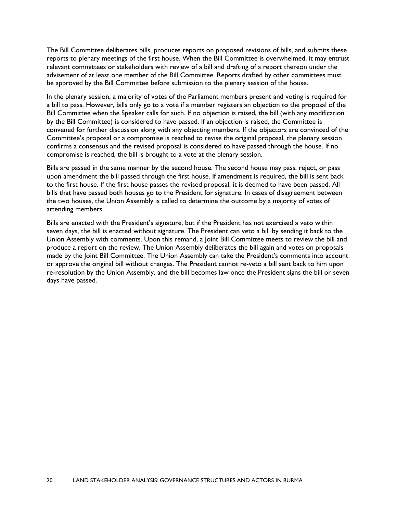The Bill Committee deliberates bills, produces reports on proposed revisions of bills, and submits these reports to plenary meetings of the first house. When the Bill Committee is overwhelmed, it may entrust relevant committees or stakeholders with review of a bill and drafting of a report thereon under the advisement of at least one member of the Bill Committee. Reports drafted by other committees must be approved by the Bill Committee before submission to the plenary session of the house.

In the plenary session, a majority of votes of the Parliament members present and voting is required for a bill to pass. However, bills only go to a vote if a member registers an objection to the proposal of the Bill Committee when the Speaker calls for such. If no objection is raised, the bill (with any modification by the Bill Committee) is considered to have passed. If an objection is raised, the Committee is convened for further discussion along with any objecting members. If the objectors are convinced of the Committee's proposal or a compromise is reached to revise the original proposal, the plenary session confirms a consensus and the revised proposal is considered to have passed through the house. If no compromise is reached, the bill is brought to a vote at the plenary session.

Bills are passed in the same manner by the second house. The second house may pass, reject, or pass upon amendment the bill passed through the first house. If amendment is required, the bill is sent back to the first house. If the first house passes the revised proposal, it is deemed to have been passed. All bills that have passed both houses go to the President for signature. In cases of disagreement between the two houses, the Union Assembly is called to determine the outcome by a majority of votes of attending members.

Bills are enacted with the President's signature, but if the President has not exercised a veto within seven days, the bill is enacted without signature. The President can veto a bill by sending it back to the Union Assembly with comments. Upon this remand, a Joint Bill Committee meets to review the bill and produce a report on the review. The Union Assembly deliberates the bill again and votes on proposals made by the Joint Bill Committee. The Union Assembly can take the President's comments into account or approve the original bill without changes. The President cannot re-veto a bill sent back to him upon re-resolution by the Union Assembly, and the bill becomes law once the President signs the bill or seven days have passed.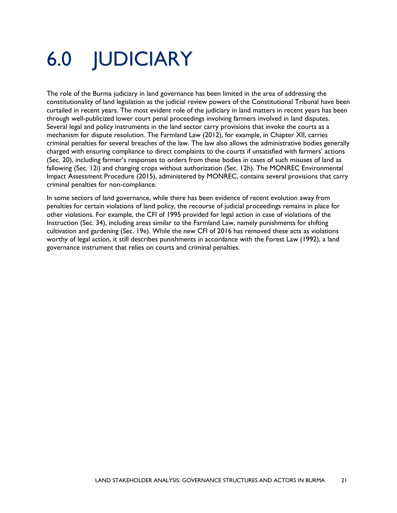## 6.0 JUDICIARY

The role of the Burma judiciary in land governance has been limited in the area of addressing the constitutionality of land legislation as the judicial review powers of the Constitutional Tribunal have been curtailed in recent years. The most evident role of the judiciary in land matters in recent years has been through well-publicized lower court penal proceedings involving farmers involved in land disputes. Several legal and policy instruments in the land sector carry provisions that invoke the courts as a mechanism for dispute resolution. The Farmland Law (2012), for example, in Chapter XII, carries criminal penalties for several breaches of the law. The law also allows the administrative bodies generally charged with ensuring compliance to direct complaints to the courts if unsatisfied with farmers' actions (Sec. 20), including farmer's responses to orders from these bodies in cases of such misuses of land as fallowing (Sec. 12i) and changing crops without authorization (Sec. 12h). The MONREC Environmental Impact Assessment Procedure (2015), administered by MONREC, contains several provisions that carry criminal penalties for non-compliance.

In some sectors of land governance, while there has been evidence of recent evolution away from penalties for certain violations of land policy, the recourse of judicial proceedings remains in place for other violations. For example, the CFI of 1995 provided for legal action in case of violations of the Instruction (Sec. 34), including areas similar to the Farmland Law, namely punishments for shifting cultivation and gardening (Sec. 19e). While the new CFI of 2016 has removed these acts as violations worthy of legal action, it still describes punishments in accordance with the Forest Law (1992), a land governance instrument that relies on courts and criminal penalties.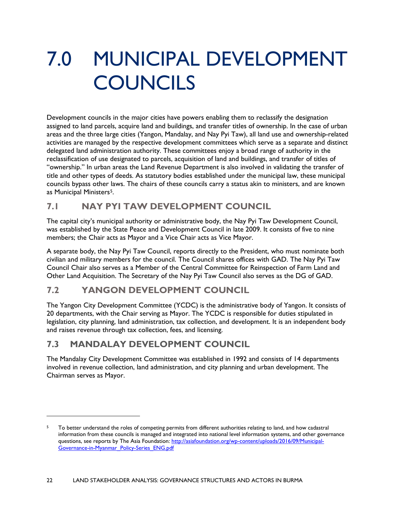## 7.0 MUNICIPAL DEVELOPMENT **COUNCILS**

Development councils in the major cities have powers enabling them to reclassify the designation assigned to land parcels, acquire land and buildings, and transfer titles of ownership. In the case of urban areas and the three large cities (Yangon, Mandalay, and Nay Pyi Taw), all land use and ownership-related activities are managed by the respective development committees which serve as a separate and distinct delegated land administration authority. These committees enjoy a broad range of authority in the reclassification of use designated to parcels, acquisition of land and buildings, and transfer of titles of "ownership." In urban areas the Land Revenue Department is also involved in validating the transfer of title and other types of deeds. As statutory bodies established under the municipal law, these municipal councils bypass other laws. The chairs of these councils carry a status akin to ministers, and are known as Municipal Ministers<sup>5</sup>.

## **7.1 NAY PYI TAW DEVELOPMENT COUNCIL**

The capital city's municipal authority or administrative body, the Nay Pyi Taw Development Council, was established by the State Peace and Development Council in late 2009. It consists of five to nine members; the Chair acts as Mayor and a Vice Chair acts as Vice Mayor.

A separate body, the Nay Pyi Taw Council, reports directly to the President, who must nominate both civilian and military members for the council. The Council shares offices with GAD. The Nay Pyi Taw Council Chair also serves as a Member of the Central Committee for Reinspection of Farm Land and Other Land Acquisition. The Secretary of the Nay Pyi Taw Council also serves as the DG of GAD.

### **7.2 YANGON DEVELOPMENT COUNCIL**

The Yangon City Development Committee (YCDC) is the administrative body of Yangon. It consists of 20 departments, with the Chair serving as Mayor. The YCDC is responsible for duties stipulated in legislation, city planning, land administration, tax collection, and development. It is an independent body and raises revenue through tax collection, fees, and licensing.

## **7.3 MANDALAY DEVELOPMENT COUNCIL**

 $\overline{a}$ 

The Mandalay City Development Committee was established in 1992 and consists of 14 departments involved in revenue collection, land administration, and city planning and urban development. The Chairman serves as Mayor.

<span id="page-28-0"></span><sup>&</sup>lt;sup>5</sup> To better understand the roles of competing permits from different authorities relating to land, and how cadastral information from these councils is managed and integrated into national level information systems, and other governance questions, see reports by The Asia Foundation: [http://asiafoundation.org/wp-content/uploads/2016/09/Municipal-](http://asiafoundation.org/wp-content/uploads/2016/09/Municipal-Governance-in-Myanmar_Policy-Series_ENG.pdf)[Governance-in-Myanmar\\_Policy-Series\\_ENG.pdf](http://asiafoundation.org/wp-content/uploads/2016/09/Municipal-Governance-in-Myanmar_Policy-Series_ENG.pdf)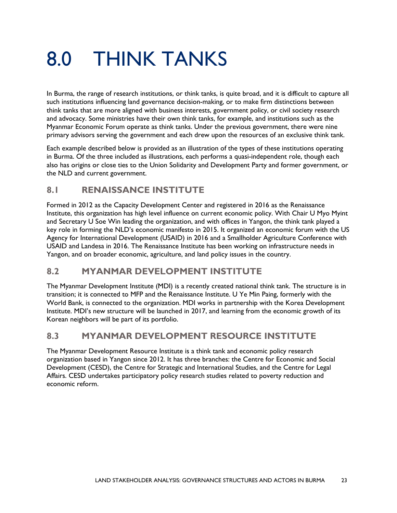## 8.0 THINK TANKS

In Burma, the range of research institutions, or think tanks, is quite broad, and it is difficult to capture all such institutions influencing land governance decision-making, or to make firm distinctions between think tanks that are more aligned with business interests, government policy, or civil society research and advocacy. Some ministries have their own think tanks, for example, and institutions such as the Myanmar Economic Forum operate as think tanks. Under the previous government, there were nine primary advisors serving the government and each drew upon the resources of an exclusive think tank.

Each example described below is provided as an illustration of the types of these institutions operating in Burma. Of the three included as illustrations, each performs a quasi-independent role, though each also has origins or close ties to the Union Solidarity and Development Party and former government, or the NLD and current government.

### **8.1 RENAISSANCE INSTITUTE**

Formed in 2012 as the Capacity Development Center and registered in 2016 as the Renaissance Institute, this organization has high level influence on current economic policy. With Chair U Myo Myint and Secretary U Soe Win leading the organization, and with offices in Yangon, the think tank played a key role in forming the NLD's economic manifesto in 2015. It organized an economic forum with the US Agency for International Development (USAID) in 2016 and a Smallholder Agriculture Conference with USAID and Landesa in 2016. The Renaissance Institute has been working on infrastructure needs in Yangon, and on broader economic, agriculture, and land policy issues in the country.

### **8.2 MYANMAR DEVELOPMENT INSTITUTE**

The Myanmar Development Institute (MDI) is a recently created national think tank. The structure is in transition; it is connected to MFP and the Renaissance Institute. U Ye Min Paing, formerly with the World Bank, is connected to the organization. MDI works in partnership with the Korea Development Institute. MDI's new structure will be launched in 2017, and learning from the economic growth of its Korean neighbors will be part of its portfolio.

### **8.3 MYANMAR DEVELOPMENT RESOURCE INSTITUTE**

The Myanmar Development Resource Institute is a think tank and economic policy research organization based in Yangon since 2012. It has three branches: the Centre for Economic and Social Development (CESD), the Centre for Strategic and International Studies, and the Centre for Legal Affairs. CESD undertakes participatory policy research studies related to poverty reduction and economic reform.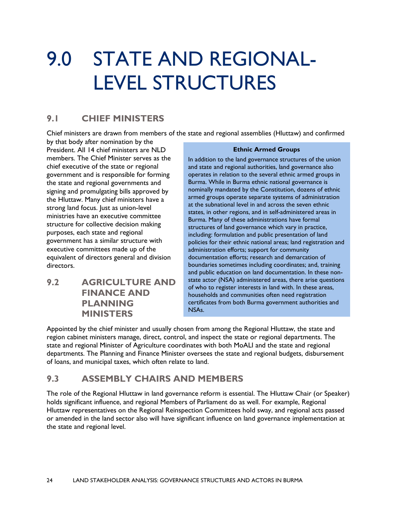## 9.0 STATE AND REGIONAL-LEVEL STRUCTURES

### **9.1 CHIEF MINISTERS**

Chief ministers are drawn from members of the state and regional assemblies (Hluttaw) and confirmed

by that body after nomination by the President. All 14 chief ministers are NLD members. The Chief Minister serves as the chief executive of the state or regional government and is responsible for forming the state and regional governments and signing and promulgating bills approved by the Hluttaw. Many chief ministers have a strong land focus. Just as union-level ministries have an executive committee structure for collective decision making purposes, each state and regional government has a similar structure with executive committees made up of the equivalent of directors general and division directors.

**9.2 AGRICULTURE AND FINANCE AND PLANNING MINISTERS**

#### **Ethnic Armed Groups**

In addition to the land governance structures of the union and state and regional authorities, land governance also operates in relation to the several ethnic armed groups in Burma. While in Burma ethnic national governance is nominally mandated by the Constitution, dozens of ethnic armed groups operate separate systems of administration at the subnational level in and across the seven ethnic states, in other regions, and in self-administered areas in Burma. Many of these administrations have formal structures of land governance which vary in practice, including: formulation and public presentation of land policies for their ethnic national areas; land registration and administration efforts; support for community documentation efforts; research and demarcation of boundaries sometimes including coordinates; and, training and public education on land documentation. In these nonstate actor (NSA) administered areas, there arise questions of who to register interests in land with. In these areas, households and communities often need registration certificates from both Burma government authorities and NSAs.

Appointed by the chief minister and usually chosen from among the Regional Hluttaw, the state and region cabinet ministers manage, direct, control, and inspect the state or regional departments. The state and regional Minister of Agriculture coordinates with both MoALI and the state and regional departments. The Planning and Finance Minister oversees the state and regional budgets, disbursement of loans, and municipal taxes, which often relate to land.

### **9.3 ASSEMBLY CHAIRS AND MEMBERS**

The role of the Regional Hluttaw in land governance reform is essential. The Hluttaw Chair (or Speaker) holds significant influence, and regional Members of Parliament do as well. For example, Regional Hluttaw representatives on the Regional Reinspection Committees hold sway, and regional acts passed or amended in the land sector also will have significant influence on land governance implementation at the state and regional level.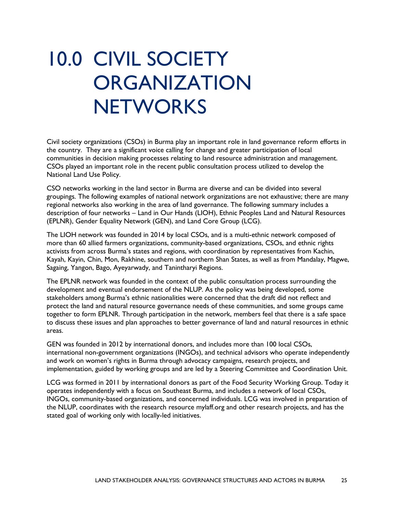## 10.0 CIVIL SOCIETY **ORGANIZATION NETWORKS**

Civil society organizations (CSOs) in Burma play an important role in land governance reform efforts in the country. They are a significant voice calling for change and greater participation of local communities in decision making processes relating to land resource administration and management. CSOs played an important role in the recent public consultation process utilized to develop the National Land Use Policy.

CSO networks working in the land sector in Burma are diverse and can be divided into several groupings. The following examples of national network organizations are not exhaustive; there are many regional networks also working in the area of land governance. The following summary includes a description of four networks – Land in Our Hands (LIOH), Ethnic Peoples Land and Natural Resources (EPLNR), Gender Equality Network (GEN), and Land Core Group (LCG).

The LIOH network was founded in 2014 by local CSOs, and is a multi-ethnic network composed of more than 60 allied farmers organizations, community-based organizations, CSOs, and ethnic rights activists from across Burma's states and regions, with coordination by representatives from Kachin, Kayah, Kayin, Chin, Mon, Rakhine, southern and northern Shan States, as well as from Mandalay, Magwe, Sagaing, Yangon, Bago, Ayeyarwady, and Tanintharyi Regions.

The EPLNR network was founded in the context of the public consultation process surrounding the development and eventual endorsement of the NLUP. As the policy was being developed, some stakeholders among Burma's ethnic nationalities were concerned that the draft did not reflect and protect the land and natural resource governance needs of these communities, and some groups came together to form EPLNR. Through participation in the network, members feel that there is a safe space to discuss these issues and plan approaches to better governance of land and natural resources in ethnic areas.

GEN was founded in 2012 by international donors, and includes more than 100 local CSOs, international non-government organizations (INGOs), and technical advisors who operate independently and work on women's rights in Burma through advocacy campaigns, research projects, and implementation, guided by working groups and are led by a Steering Committee and Coordination Unit.

LCG was formed in 2011 by international donors as part of the Food Security Working Group. Today it operates independently with a focus on Southeast Burma, and includes a network of local CSOs, INGOs, community-based organizations, and concerned individuals. LCG was involved in preparation of the NLUP, coordinates with the research resource mylaff.org and other research projects, and has the stated goal of working only with locally-led initiatives.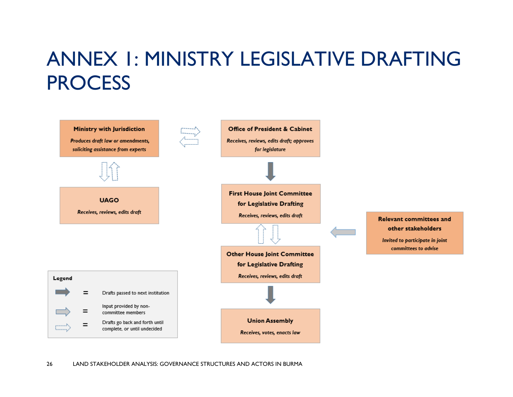## ANNEX 1: MINISTRY LEGISLATIVE DRAFTING **PROCESS**

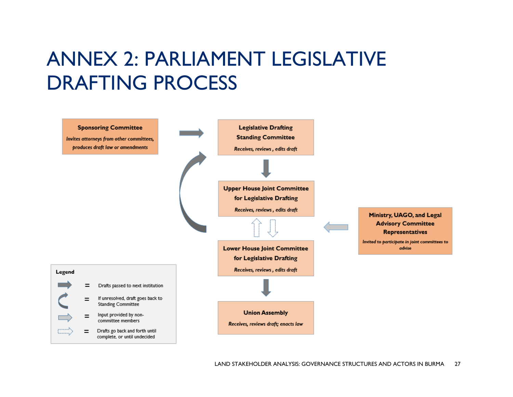## ANNEX 2: PARLIAMENT LEGISLATIVE DRAFTING PROCESS